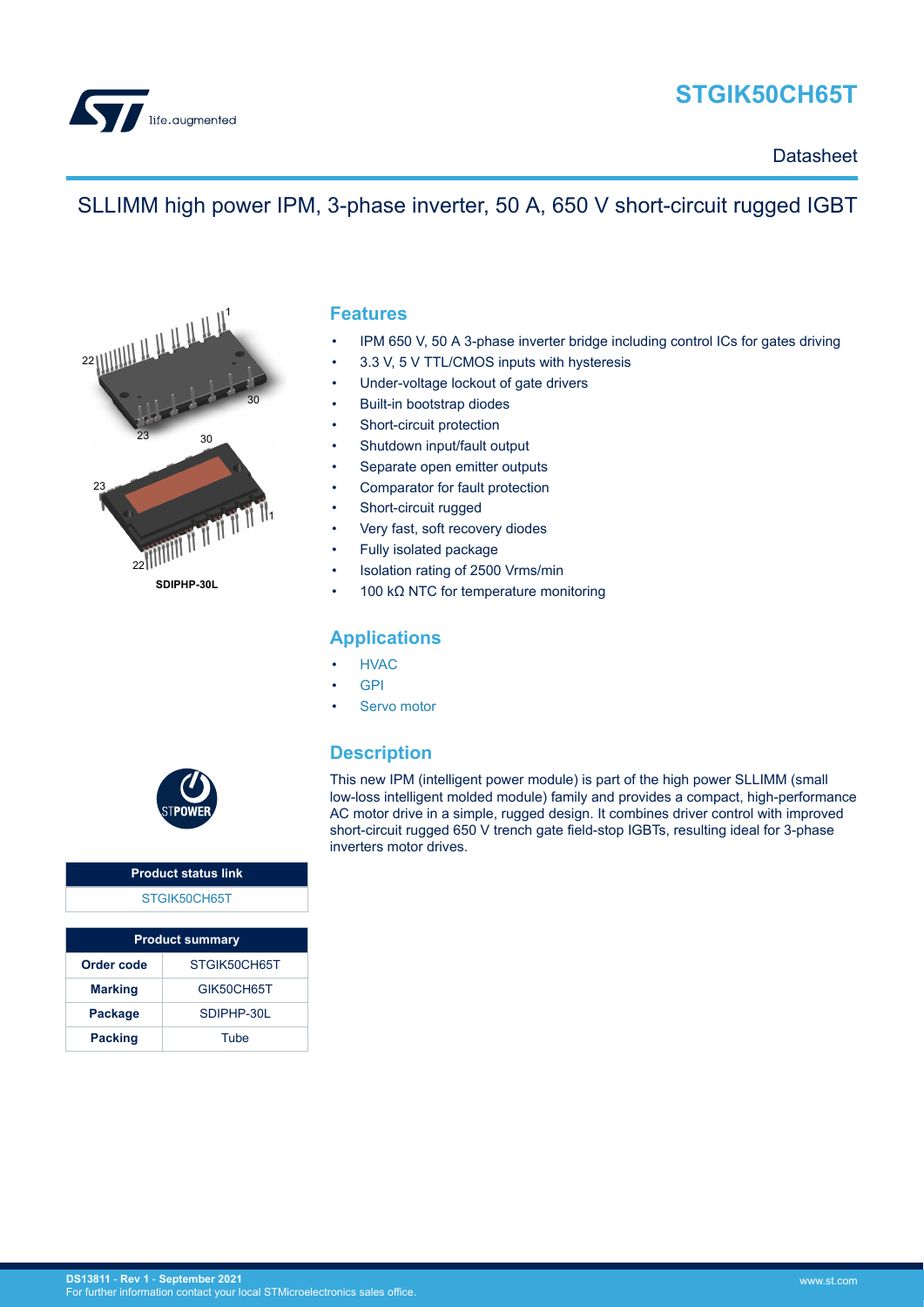

# **STGIK50CH65T**

**Datasheet** 

# SLLIMM high power IPM, 3-phase inverter, 50 A, 650 V short-circuit rugged IGBT



### **Features**

- IPM 650 V, 50 A 3-phase inverter bridge including control ICs for gates driving
- 3.3 V, 5 V TTL/CMOS inputs with hysteresis
- Under-voltage lockout of gate drivers
- Built-in bootstrap diodes
- Short-circuit protection
- Shutdown input/fault output
- Separate open emitter outputs
- Comparator for fault protection
- Short-circuit rugged
- Very fast, soft recovery diodes
- Fully isolated package
- Isolation rating of 2500 Vrms/min
- 100 kΩ NTC for temperature monitoring

### **Applications**

- **[HVAC](https://www.st.com/en/applications/home-building-and-city-automation/central-hvac.html?ecmp=tt9471_gl_link_feb2019&rt=ds&id=DS13811)**
- [GPI](https://www.st.com/en/applications/industrial-drives.html?ecmp=tt9471_gl_link_feb2019&rt=ds&id=DS13811)
- [Servo motor](https://www.st.com/en/applications/industrial-drives/servo-drives.html?ecmp=tt9471_gl_link_feb2019&rt=ds&id=DS13811)

### **Description**

This new IPM (intelligent power module) is part of the high power SLLIMM (small low-loss intelligent molded module) family and provides a compact, high-performance AC motor drive in a simple, rugged design. It combines driver control with improved short-circuit rugged 650 V trench gate field-stop IGBTs, resulting ideal for 3-phase inverters motor drives.



### **Product status link** [STGIK50CH65T](https://www.st.com/en/product/STGIK50CH65T?ecmp=tt9470_gl_link_feb2019&rt=ds&id=DS13811)

| <b>Product summary</b> |              |  |
|------------------------|--------------|--|
| Order code             | STGIK50CH65T |  |
| <b>Marking</b>         | GIK50CH65T   |  |
| Package                | SDIPHP-30L   |  |
| <b>Packing</b>         | Tube         |  |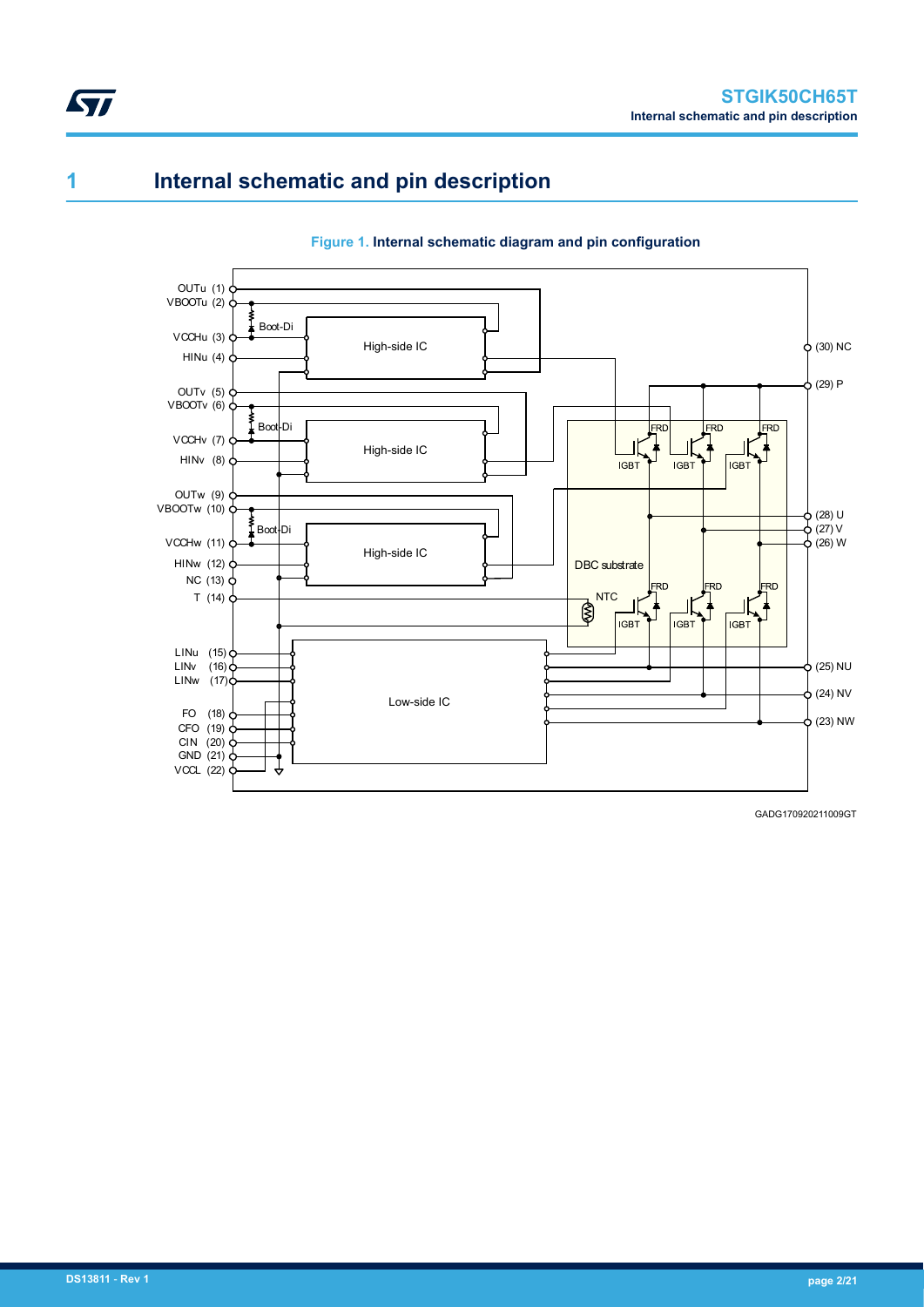## **1 Internal schematic and pin description**

<span id="page-1-0"></span>ST



#### **Figure 1. Internal schematic diagram and pin configuration**

GADG170920211009GT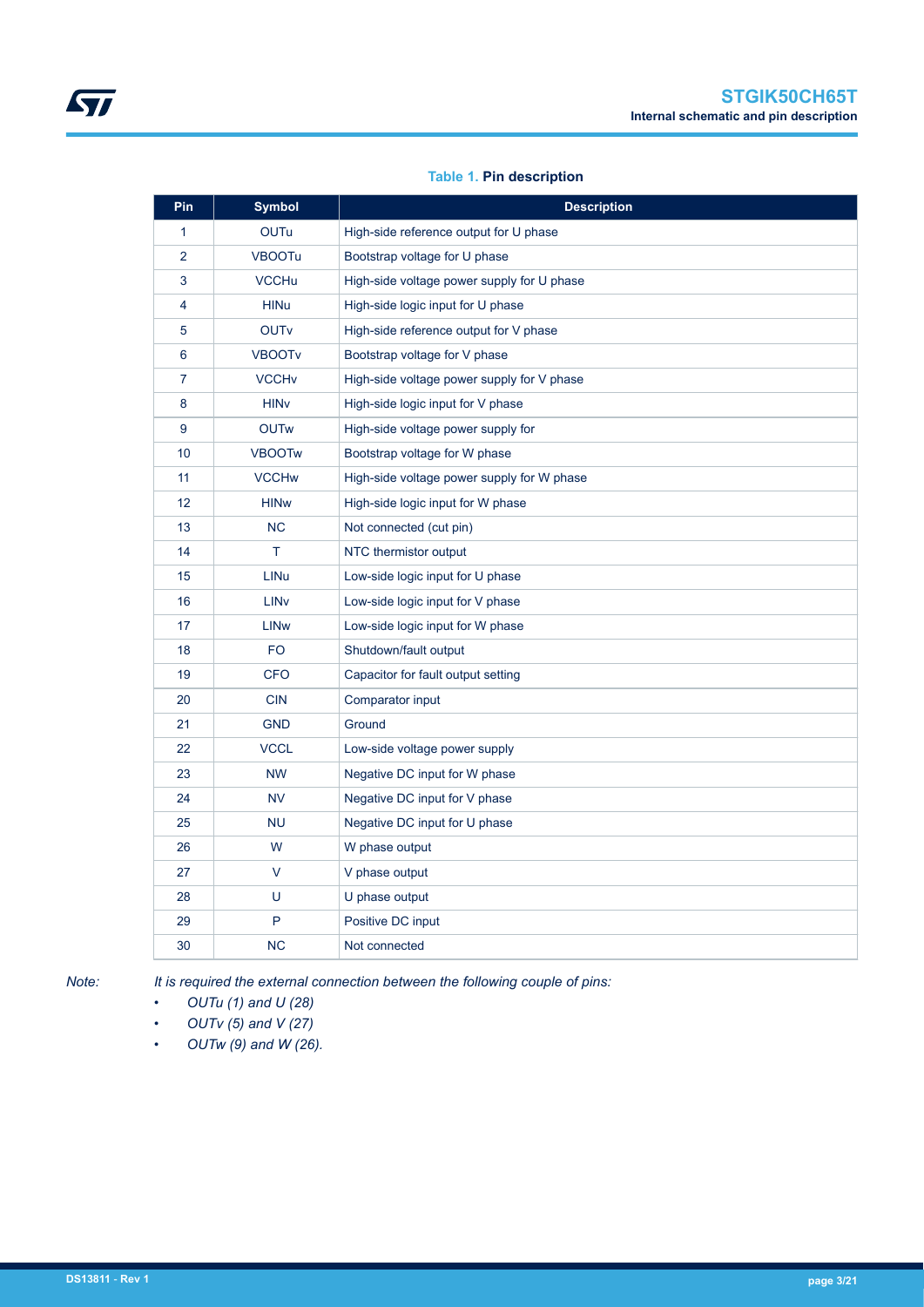### **Table 1. Pin description**

| Pin            | <b>Symbol</b>           | <b>Description</b>                         |
|----------------|-------------------------|--------------------------------------------|
| $\mathbf{1}$   | <b>OUTu</b>             | High-side reference output for U phase     |
| $\overline{2}$ | <b>VBOOTu</b>           | Bootstrap voltage for U phase              |
| 3              | <b>VCCHu</b>            | High-side voltage power supply for U phase |
| 4              | <b>HINu</b>             | High-side logic input for U phase          |
| 5              | <b>OUTv</b>             | High-side reference output for V phase     |
| 6              | <b>VBOOTV</b>           | Bootstrap voltage for V phase              |
| 7              | <b>VCCH<sub>v</sub></b> | High-side voltage power supply for V phase |
| 8              | <b>HIN<sub>V</sub></b>  | High-side logic input for V phase          |
| 9              | <b>OUTw</b>             | High-side voltage power supply for         |
| 10             | <b>VBOOTw</b>           | Bootstrap voltage for W phase              |
| 11             | <b>VCCHw</b>            | High-side voltage power supply for W phase |
| 12             | <b>HINw</b>             | High-side logic input for W phase          |
| 13             | <b>NC</b>               | Not connected (cut pin)                    |
| 14             | Τ                       | NTC thermistor output                      |
| 15             | <b>LINu</b>             | Low-side logic input for U phase           |
| 16             | <b>LIN<sub>V</sub></b>  | Low-side logic input for V phase           |
| 17             | <b>LIN<sub>w</sub></b>  | Low-side logic input for W phase           |
| 18             | F <sub>O</sub>          | Shutdown/fault output                      |
| 19             | <b>CFO</b>              | Capacitor for fault output setting         |
| 20             | <b>CIN</b>              | Comparator input                           |
| 21             | <b>GND</b>              | Ground                                     |
| 22             | <b>VCCL</b>             | Low-side voltage power supply              |
| 23             | <b>NW</b>               | Negative DC input for W phase              |
| 24             | <b>NV</b>               | Negative DC input for V phase              |
| 25             | <b>NU</b>               | Negative DC input for U phase              |
| 26             | W                       | W phase output                             |
| 27             | V                       | V phase output                             |
| 28             | U                       | U phase output                             |
| 29             | P                       | Positive DC input                          |
| 30             | <b>NC</b>               | Not connected                              |

ST

*Note: It is required the external connection between the following couple of pins:*

*• OUTu (1) and U (28)*

- *OUTv (5) and V (27)*
- *OUTw (9) and W (26).*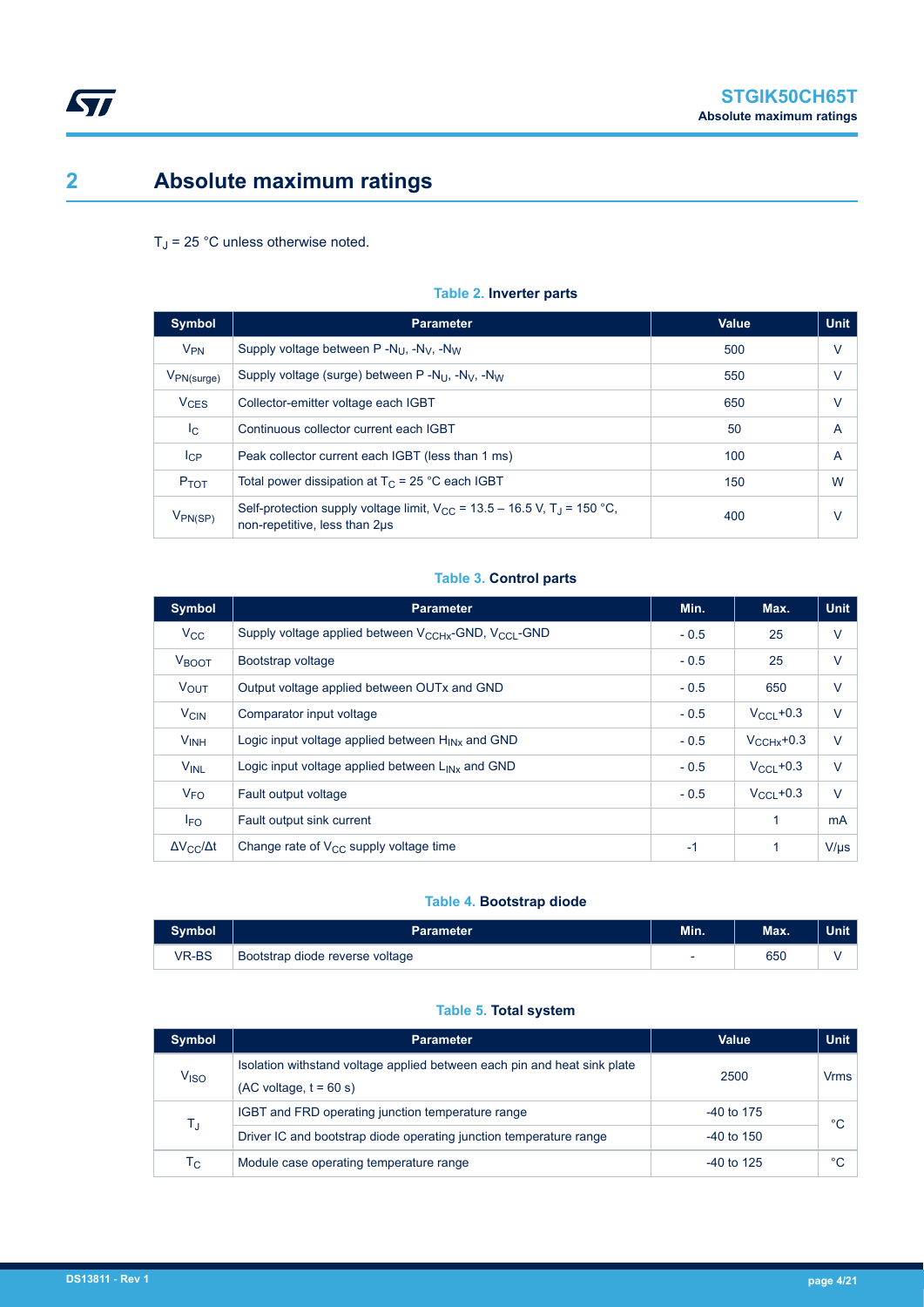# <span id="page-3-0"></span>**2 Absolute maximum ratings**

### $T_J$  = 25 °C unless otherwise noted.

| <b>Symbol</b>             | <b>Parameter</b>                                                                                                          | Value | <b>Unit</b>    |
|---------------------------|---------------------------------------------------------------------------------------------------------------------------|-------|----------------|
| $V_{PN}$                  | Supply voltage between $P - N_{11}$ , $-N_{12}$ , $-N_{13}$                                                               | 500   | V              |
| $V_{PN(surge)}$           | Supply voltage (surge) between $P - N_{U}$ , $-N_{V}$ , $-N_{W}$                                                          | 550   | $\vee$         |
| <b>V<sub>CES</sub></b>    | Collector-emitter voltage each IGBT                                                                                       | 650   | V              |
| $\mathsf{I}_{\mathbf{C}}$ | Continuous collector current each IGBT                                                                                    | 50    | $\overline{A}$ |
| $I_{\rm CP}$              | Peak collector current each IGBT (less than 1 ms)                                                                         | 100   | $\overline{A}$ |
| <b>P</b> TOT              | Total power dissipation at $T_C = 25$ °C each IGBT                                                                        | 150   | W              |
| $V_{PN(SP)}$              | Self-protection supply voltage limit, $V_{CC}$ = 13.5 – 16.5 V, T <sub>J</sub> = 150 °C,<br>non-repetitive, less than 2us | 400   | v              |

#### **Table 2. Inverter parts**

#### **Table 3. Control parts**

| <b>Symbol</b>            | <b>Parameter</b>                                               | Min.   | Max.                   | <b>Unit</b>    |
|--------------------------|----------------------------------------------------------------|--------|------------------------|----------------|
| $V_{\rm CC}$             | Supply voltage applied between $V_{CCHx}$ -GND, $V_{CCl}$ -GND | $-0.5$ | 25                     | $\vee$         |
| <b>V</b> BOOT            | Bootstrap voltage                                              | $-0.5$ | 25                     | $\vee$         |
| $V_{\text{OUT}}$         | Output voltage applied between OUTx and GND                    | $-0.5$ | 650                    | $\vee$         |
| <b>V<sub>CIN</sub></b>   | Comparator input voltage                                       | $-0.5$ | $V_{\rm CCl}$ +0.3     | $\vee$         |
| <b>VINH</b>              | Logic input voltage applied between H <sub>INx</sub> and GND   | $-0.5$ | $V_{\text{CCHx}}$ +0.3 | $\vee$         |
| <b>VINL</b>              | Logic input voltage applied between $L_{INx}$ and GND          | $-0.5$ | $V_{\rm CCl}$ +0.3     | $\vee$         |
| $V_{FO}$                 | Fault output voltage                                           | $-0.5$ | $V_{\rm CCl}$ +0.3     | $\vee$         |
| <b>IFO</b>               | Fault output sink current                                      |        | 1                      | m <sub>A</sub> |
| $\Delta V_{CC}/\Delta t$ | Change rate of $V_{CC}$ supply voltage time                    | $-1$   | 1                      | $V/\mu s$      |

#### **Table 4. Bootstrap diode**

| mbol  | Parameter                       | Min. | Max. | Unit |
|-------|---------------------------------|------|------|------|
| VR-BS | Bootstrap diode reverse voltage | -    | 650  |      |

#### **Table 5. Total system**

| <b>Symbol</b>    | <b>Parameter</b>                                                                                     | Value        | <b>Unit</b> |
|------------------|------------------------------------------------------------------------------------------------------|--------------|-------------|
| V <sub>ISO</sub> | Isolation withstand voltage applied between each pin and heat sink plate<br>$(AC voltage, t = 60 s)$ | 2500         | Vrms        |
| TJ               | IGBT and FRD operating junction temperature range                                                    | $-40$ to 175 | °C          |
|                  | Driver IC and bootstrap diode operating junction temperature range                                   | $-40$ to 150 |             |
| Тc               | Module case operating temperature range                                                              | $-40$ to 125 | °C          |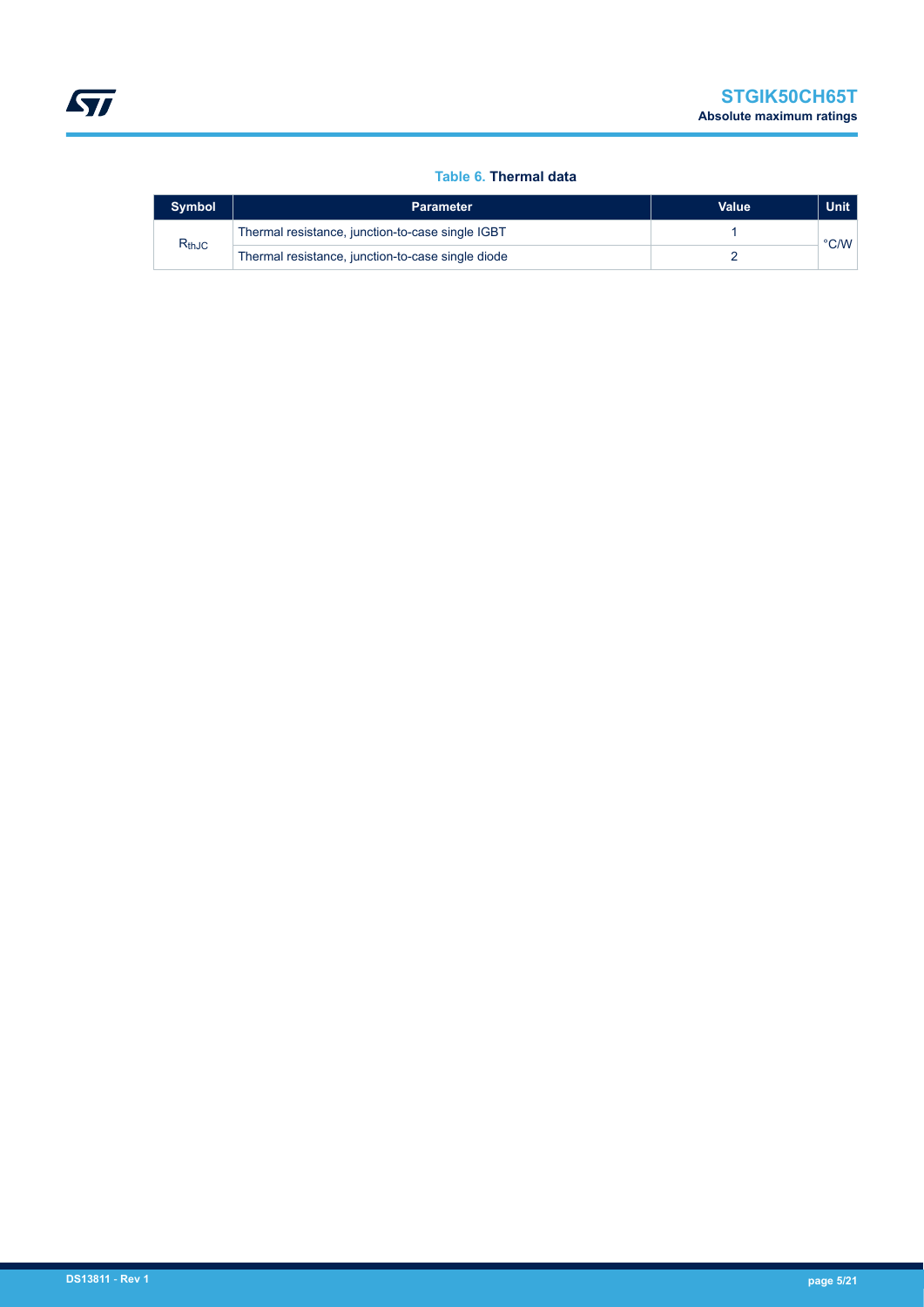#### **Table 6. Thermal data**

| <b>Symbol</b> | <b>Parameter</b>                                  | <b>Value</b> | <b>Unit</b>   |
|---------------|---------------------------------------------------|--------------|---------------|
|               | Thermal resistance, junction-to-case single IGBT  |              |               |
| $R_{thJC}$    | Thermal resistance, junction-to-case single diode |              | $\degree$ C/W |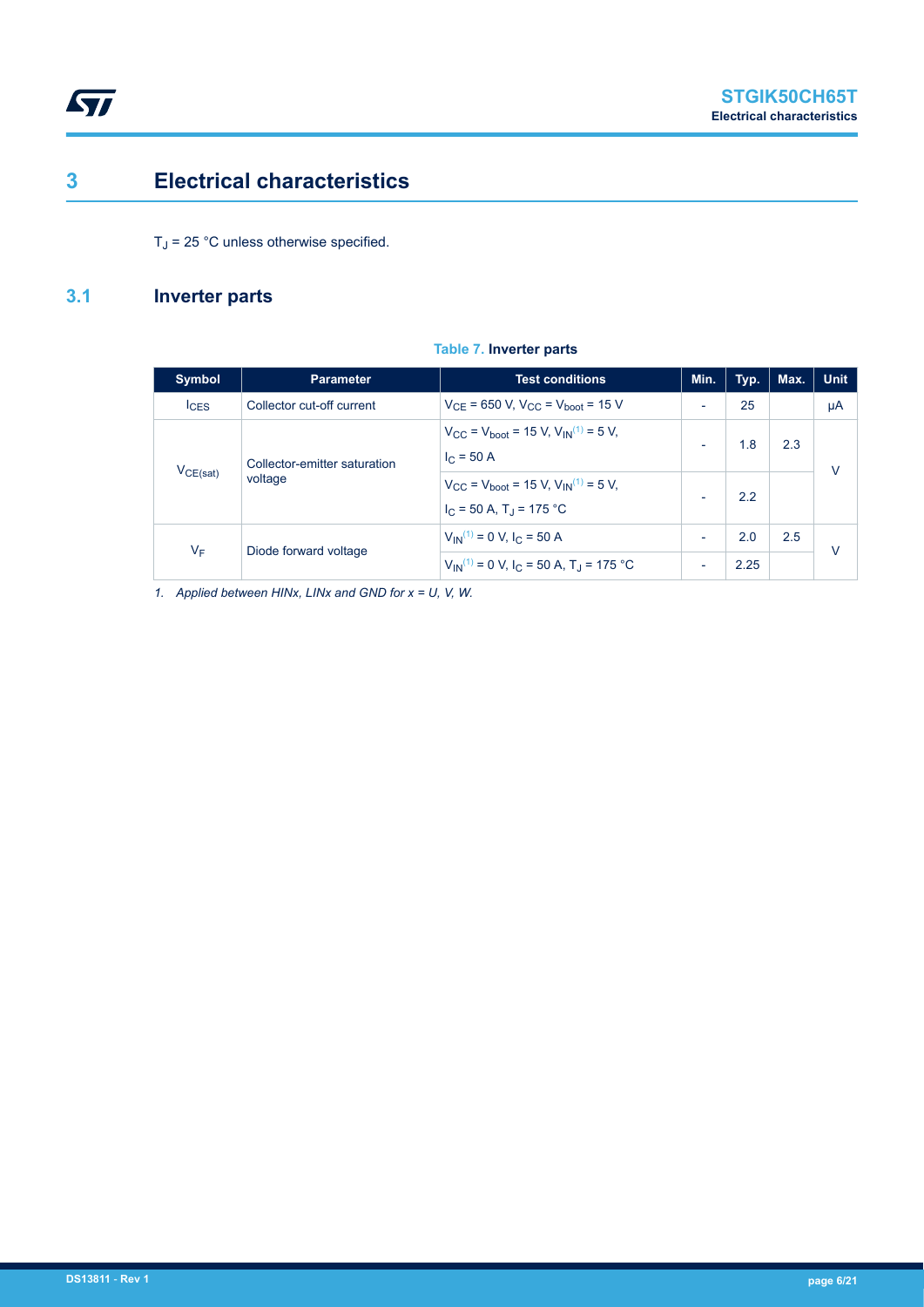## **3 Electrical characteristics**

 $T_J$  = 25 °C unless otherwise specified.

### **3.1 Inverter parts**

<span id="page-5-0"></span> $\sqrt{2}$ 

| <b>Symbol</b> | <b>Parameter</b>                        | <b>Test conditions</b>                                                                                            | Min.                     | Typ. | Max. | <b>Unit</b> |
|---------------|-----------------------------------------|-------------------------------------------------------------------------------------------------------------------|--------------------------|------|------|-------------|
| $I_{CES}$     | Collector cut-off current               | $V_{CF}$ = 650 V, $V_{CC}$ = $V_{boot}$ = 15 V                                                                    | $\overline{\phantom{a}}$ | 25   |      | μA          |
| $V_{CE(sat)}$ | Collector-emitter saturation<br>voltage | $V_{\text{CC}}$ = $V_{\text{boot}}$ = 15 V, $V_{\text{IN}}^{(1)}$ = 5 V,<br>$I_C = 50 A$                          | $\overline{\phantom{a}}$ | 1.8  | 2.3  | $\vee$      |
|               |                                         | $V_{\text{CC}}$ = $V_{\text{boot}}$ = 15 V, $V_{\text{IN}}^{(1)}$ = 5 V,<br>$I_C = 50$ A, T <sub>J</sub> = 175 °C | $\overline{\phantom{a}}$ | 22   |      |             |
|               |                                         | $V_{IN}^{(1)} = 0$ V, $I_C = 50$ A                                                                                | $\overline{\phantom{a}}$ | 2.0  | 2.5  | V           |
| $V_F$         | Diode forward voltage                   | $V_{IN}^{(1)} = 0$ V, I <sub>C</sub> = 50 A, T <sub>J</sub> = 175 °C                                              | $\overline{\phantom{a}}$ | 2.25 |      |             |

**Table 7. Inverter parts**

*1. Applied between HINx, LINx and GND for x = U, V, W.*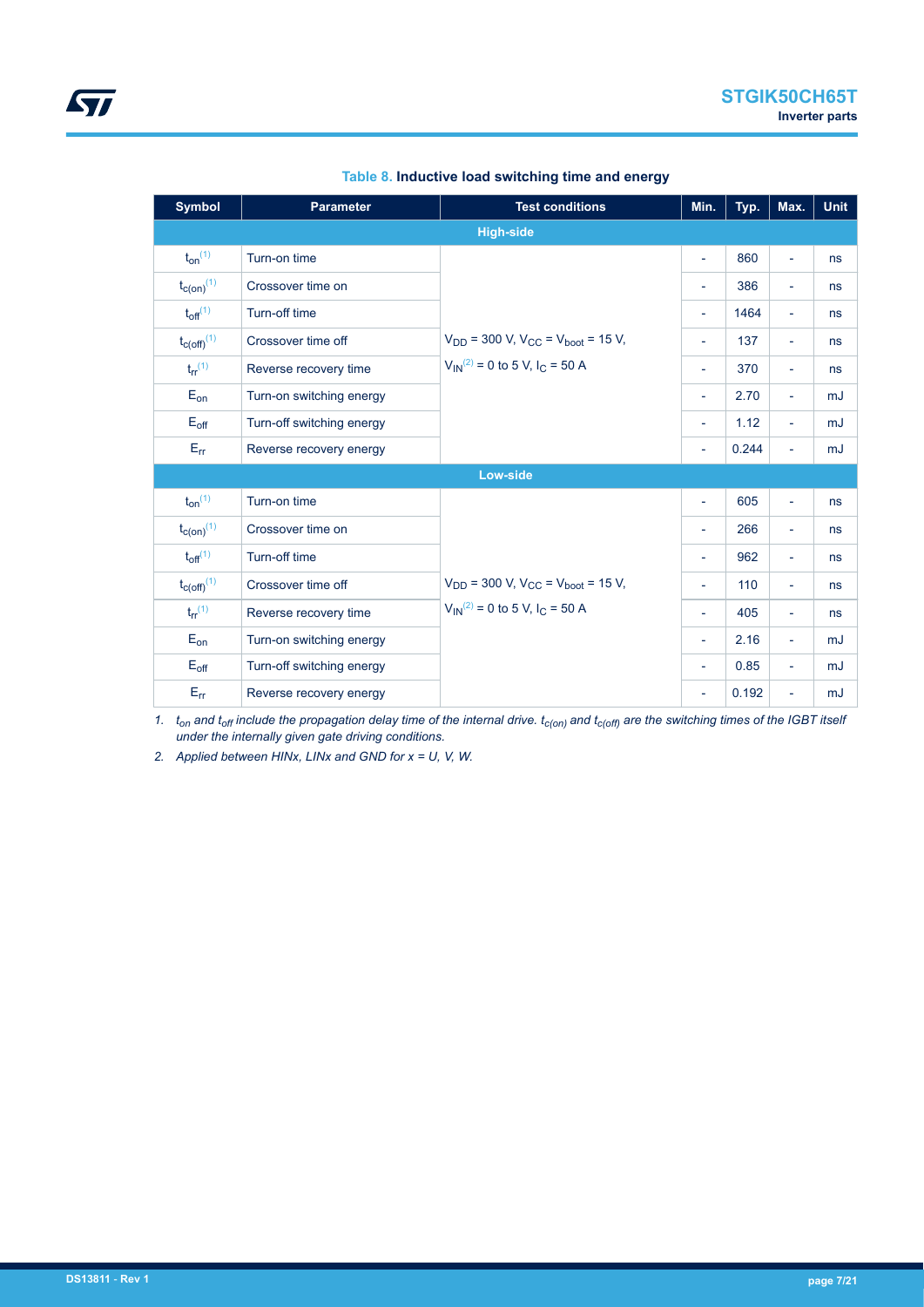| <b>Symbol</b>                       | <b>Parameter</b>          | <b>Test conditions</b>                                        | Min.                     | Typ.  | Max.                        | <b>Unit</b> |
|-------------------------------------|---------------------------|---------------------------------------------------------------|--------------------------|-------|-----------------------------|-------------|
|                                     |                           | <b>High-side</b>                                              |                          |       |                             |             |
| $t_{on}$ <sup>(1)</sup>             | Turn-on time              |                                                               | $\bar{\phantom{a}}$      | 860   | $\mathcal{L}_{\mathcal{A}}$ | ns          |
| $t_{c(on)}$ <sup>(1)</sup>          | Crossover time on         |                                                               | $\overline{\phantom{a}}$ | 386   | $\overline{\phantom{a}}$    | ns          |
| $t_{off}$ <sup>(1)</sup>            | Turn-off time             |                                                               | $\overline{\phantom{a}}$ | 1464  | $\blacksquare$              | ns          |
| $t_{C(Off)}$ <sup>(1)</sup>         | Crossover time off        | $V_{DD}$ = 300 V, V <sub>CC</sub> = V <sub>boot</sub> = 15 V, | $\overline{\phantom{a}}$ | 137   | $\overline{\phantom{a}}$    | ns          |
| $t_{rr}$ <sup>(1)</sup>             | Reverse recovery time     | $V_{IN}^{(2)} = 0$ to 5 V, I <sub>C</sub> = 50 A              | $\overline{\phantom{a}}$ | 370   | $\overline{\phantom{a}}$    | ns          |
| $E_{on}$                            | Turn-on switching energy  |                                                               | $\overline{\phantom{a}}$ | 2.70  | $\blacksquare$              | mJ          |
| $E_{\text{off}}$                    | Turn-off switching energy |                                                               | $\overline{\phantom{a}}$ | 1.12  | $\overline{\phantom{a}}$    | mJ          |
| $\mathsf{E}_{\mathsf{f}\mathsf{f}}$ | Reverse recovery energy   |                                                               | $\overline{\phantom{a}}$ | 0.244 | $\overline{\phantom{a}}$    | mJ          |
|                                     |                           | <b>Low-side</b>                                               |                          |       |                             |             |
| $t_{on}$ <sup>(1)</sup>             | Turn-on time              |                                                               | $\overline{\phantom{a}}$ | 605   | $\overline{\phantom{0}}$    | ns          |
| $t_{c(on)}$ <sup>(1)</sup>          | Crossover time on         |                                                               | $\overline{\phantom{a}}$ | 266   | $\blacksquare$              | ns          |
| $t_{off}$ <sup>(1)</sup>            | Turn-off time             |                                                               | $\overline{\phantom{a}}$ | 962   | $\blacksquare$              | ns          |
| $t_{C(Off)}$ <sup>(1)</sup>         | Crossover time off        | $V_{DD}$ = 300 V, $V_{CC}$ = $V_{boot}$ = 15 V,               | $\overline{\phantom{a}}$ | 110   | Ξ.                          | ns          |
| $t_{rr}$ <sup>(1)</sup>             | Reverse recovery time     | $V_{IN}^{(2)} = 0$ to 5 V, $I_C = 50$ A                       | $\overline{\phantom{a}}$ | 405   | $\overline{\phantom{a}}$    | ns          |
| $E_{on}$                            | Turn-on switching energy  |                                                               | $\overline{\phantom{a}}$ | 2.16  | $\overline{\phantom{a}}$    | mJ          |
| $E_{\text{off}}$                    | Turn-off switching energy |                                                               | $\overline{\phantom{a}}$ | 0.85  | $\overline{\phantom{a}}$    | mJ          |
| $E_{rr}$                            | Reverse recovery energy   |                                                               | $\overline{\phantom{a}}$ | 0.192 | $\blacksquare$              | mJ          |

#### **Table 8. Inductive load switching time and energy**

*1. ton and toff include the propagation delay time of the internal drive. tc(on) and tc(off) are the switching times of the IGBT itself under the internally given gate driving conditions.*

*2. Applied between HINx, LINx and GND for x = U, V, W.*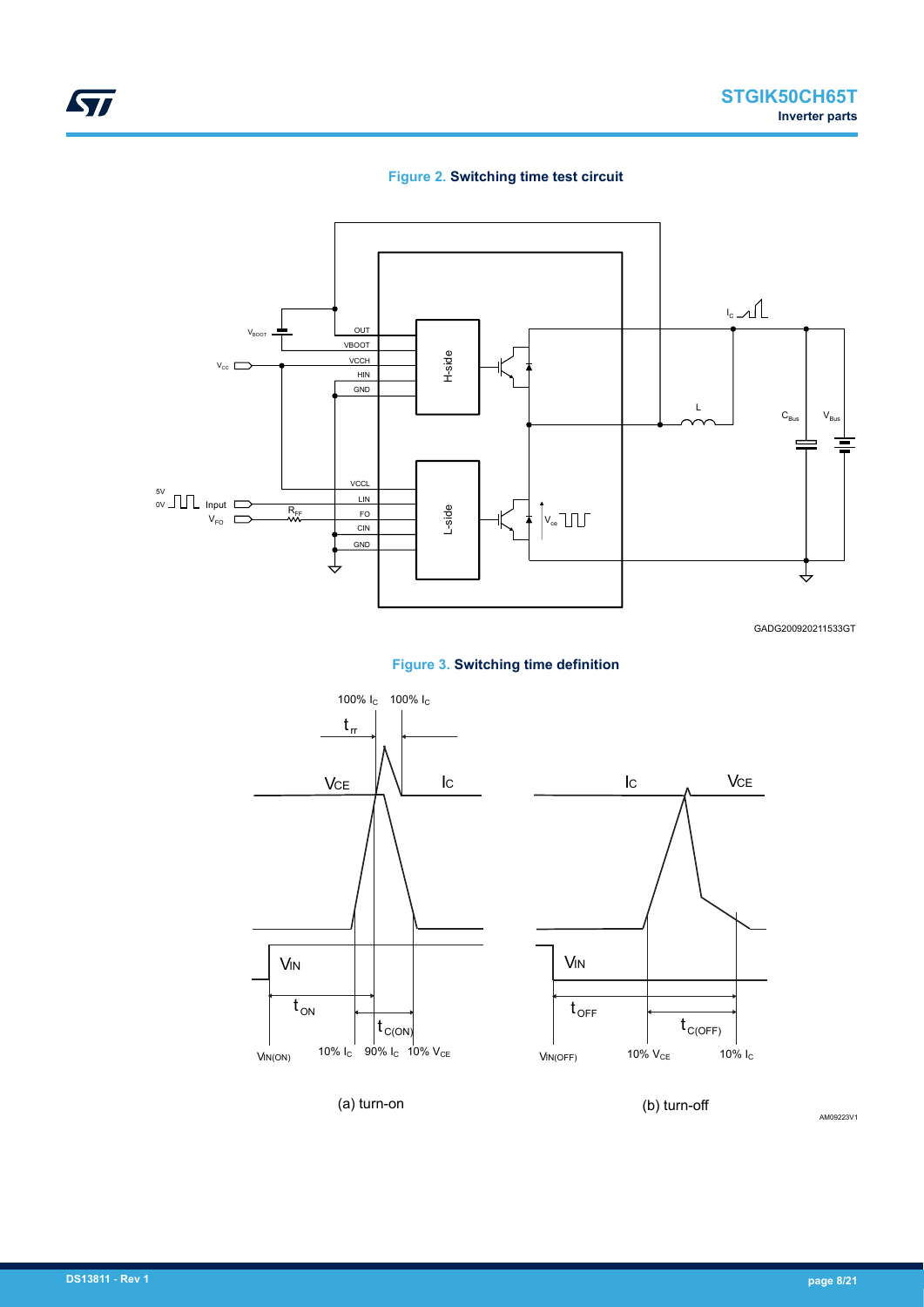#### **Figure 2. Switching time test circuit**



GADG200920211533GT





AM09223V1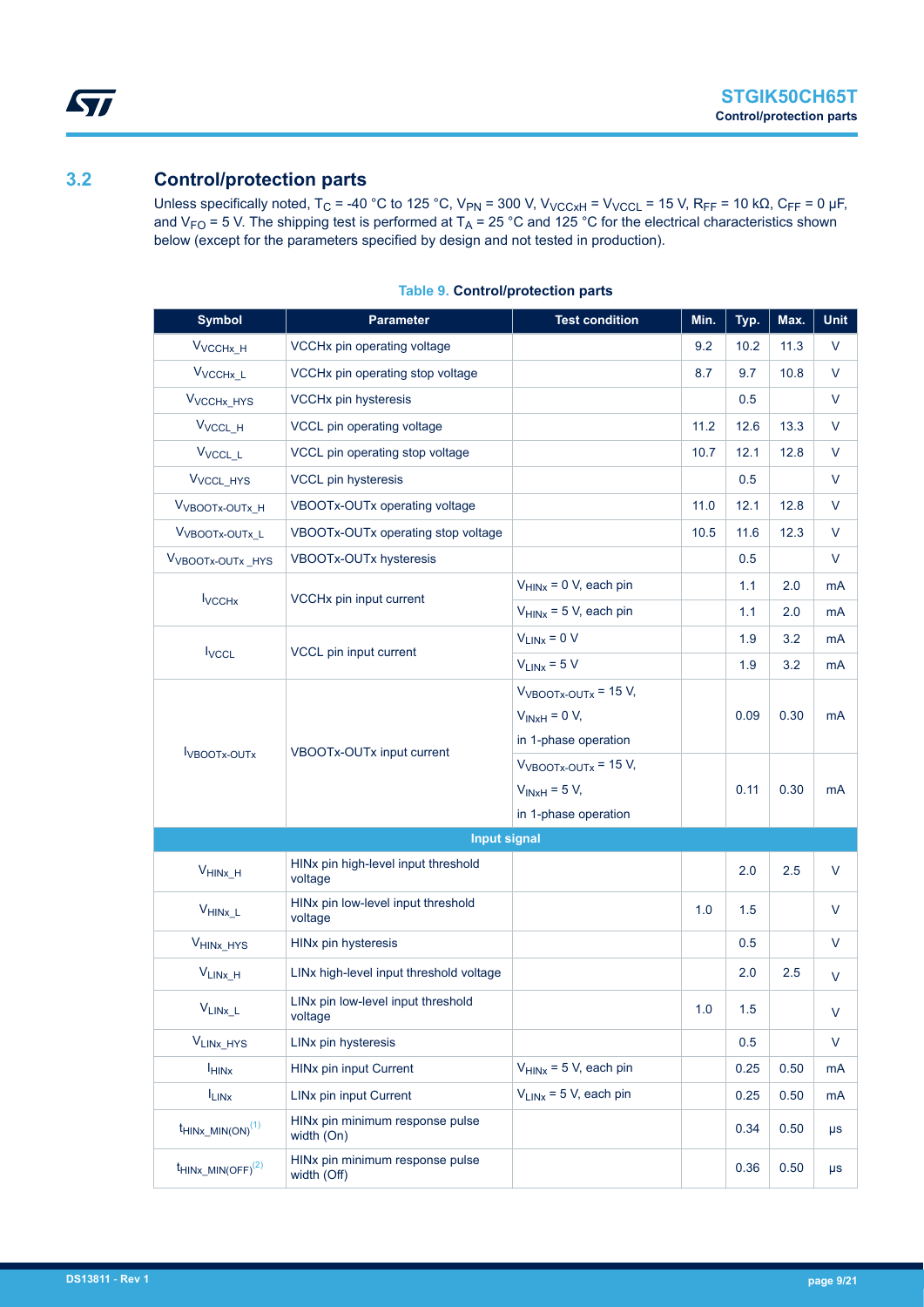### <span id="page-8-0"></span>**3.2 Control/protection parts**

Unless specifically noted, T<sub>C</sub> = -40 °C to 125 °C, V<sub>PN</sub> = 300 V, V<sub>VCCxH</sub> = V<sub>VCCL</sub> = 15 V, R<sub>FF</sub> = 10 kΩ, C<sub>FF</sub> = 0 µF, and  $V_{FO}$  = 5 V. The shipping test is performed at T<sub>A</sub> = 25 °C and 125 °C for the electrical characteristics shown below (except for the parameters specified by design and not tested in production).

| <b>Symbol</b>                    | <b>Parameter</b>                               | <b>Test condition</b>                                                                                                 | Min. | Typ.         | Max.         | Unit     |
|----------------------------------|------------------------------------------------|-----------------------------------------------------------------------------------------------------------------------|------|--------------|--------------|----------|
| V <sub>VCCHx_H</sub>             | VCCHx pin operating voltage                    |                                                                                                                       | 9.2  | 10.2         | 11.3         | V        |
| V <sub>VCCHx_L</sub>             | VCCHx pin operating stop voltage               |                                                                                                                       | 8.7  | 9.7          | 10.8         | V        |
| V <sub>VCCHx_HYS</sub>           | <b>VCCHx pin hysteresis</b>                    |                                                                                                                       |      | 0.5          |              | V        |
| V <sub>VCCL_H</sub>              | VCCL pin operating voltage                     |                                                                                                                       | 11.2 | 12.6         | 13.3         | V        |
| V <sub>VCCL_L</sub>              | VCCL pin operating stop voltage                |                                                                                                                       | 10.7 | 12.1         | 12.8         | V        |
| V <sub>VCCL_HYS</sub>            | <b>VCCL pin hysteresis</b>                     |                                                                                                                       |      | 0.5          |              | V        |
| V <sub>VBOOTx-OUTx</sub> H       | VBOOTx-OUTx operating voltage                  |                                                                                                                       | 11.0 | 12.1         | 12.8         | $\vee$   |
| V <sub>VBOOTx-OUTx_L</sub>       | VBOOTx-OUTx operating stop voltage             |                                                                                                                       | 10.5 | 11.6         | 12.3         | V        |
| V <sub>VBOOTx-OUTx_HYS</sub>     | VBOOTx-OUTx hysteresis                         |                                                                                                                       |      | 0.5          |              | V        |
|                                  |                                                | $V_{HINx} = 0$ V, each pin                                                                                            |      | 1.1          | 2.0          | mA       |
| <b>I</b> vcc <sub>Hx</sub>       | VCCHx pin input current                        | $V_{HINx}$ = 5 V, each pin                                                                                            |      | 1.1          | 2.0          | mA       |
|                                  | VCCL pin input current                         | $V_{LINx} = 0 V$                                                                                                      |      | 1.9          | 3.2          | mA       |
| <b>I</b> vccL                    |                                                | $V_{LINx} = 5 V$                                                                                                      |      | 1.9          | 3.2          | mA       |
| <b>I</b> VBOOTX-OUTX             | VBOOTx-OUTx input current                      | $V_{VBOOTx-OUTx}$ = 15 V,<br>$V_{INxH} = 0 V,$<br>in 1-phase operation<br>$VVBOOTx-OUTx = 15 V,$<br>$V_{INxH}$ = 5 V, |      | 0.09<br>0.11 | 0.30<br>0.30 | mA<br>mA |
|                                  |                                                | in 1-phase operation                                                                                                  |      |              |              |          |
|                                  | <b>Input signal</b>                            |                                                                                                                       |      |              |              |          |
| $V_{HINX_H}$                     | HINx pin high-level input threshold<br>voltage |                                                                                                                       |      | 2.0          | 2.5          | V        |
| $V_{\text{HINx\_L}}$             | HINx pin low-level input threshold<br>voltage  |                                                                                                                       | 1.0  | 1.5          |              | V        |
| V <sub>HINX_HYS</sub>            | HINx pin hysteresis                            |                                                                                                                       |      | 0.5          |              | $\vee$   |
| $V_{LINK_H}$                     | LINx high-level input threshold voltage        |                                                                                                                       |      | 2.0          | 2.5          | V        |
| $V_{LINx\_L}$                    | LINx pin low-level input threshold<br>voltage  |                                                                                                                       | 1.0  | 1.5          |              | V        |
| V <sub>LINX_HYS</sub>            | LINx pin hysteresis                            |                                                                                                                       |      | 0.5          |              | V        |
| <b>HINX</b>                      | HINx pin input Current                         | $V_{HINX}$ = 5 V, each pin                                                                                            |      | 0.25         | 0.50         | mA       |
| $I_{LINX}$                       | LINx pin input Current                         | $V_{LINx}$ = 5 V, each pin                                                                                            |      | 0.25         | 0.50         | mA       |
| $t$ HINx_MIN(ON) <sup>(1)</sup>  | HINx pin minimum response pulse<br>width (On)  |                                                                                                                       |      | 0.34         | 0.50         | $\mu s$  |
| $t$ HINX MIN(OFF) <sup>(2)</sup> | HINx pin minimum response pulse<br>width (Off) |                                                                                                                       |      | 0.36         | 0.50         | $\mu s$  |

#### **Table 9. Control/protection parts**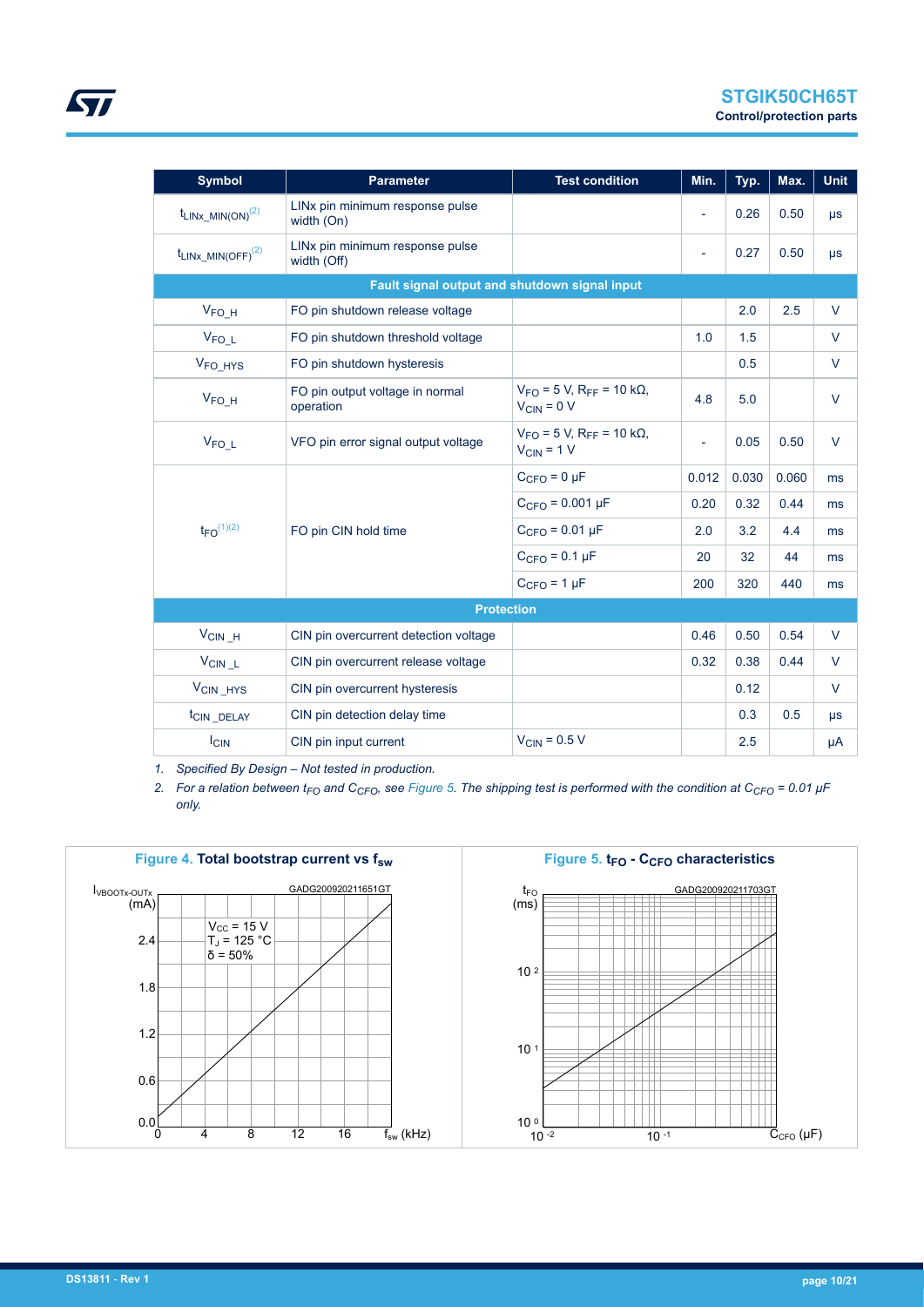<span id="page-9-0"></span>

| <b>Symbol</b>              | <b>Parameter</b>                               | <b>Test condition</b>                                                       | Min.                     | Typ.  | Max.  | <b>Unit</b> |
|----------------------------|------------------------------------------------|-----------------------------------------------------------------------------|--------------------------|-------|-------|-------------|
| $t_{LINx\_MIN(ON)}^{(2)}$  | LINx pin minimum response pulse<br>width (On)  |                                                                             | $\overline{\phantom{a}}$ | 0.26  | 0.50  | $\mu s$     |
| $t_{LINK~MIN(OFF)}^{(2)}$  | LINx pin minimum response pulse<br>width (Off) |                                                                             | $\overline{\phantom{a}}$ | 0.27  | 0.50  | $\mu s$     |
|                            | Fault signal output and shutdown signal input  |                                                                             |                          |       |       |             |
| $V_{FO_H}$                 | FO pin shutdown release voltage                |                                                                             |                          | 2.0   | 2.5   | $\vee$      |
| V <sub>FOL</sub>           | FO pin shutdown threshold voltage              |                                                                             | 1.0                      | 1.5   |       | $\vee$      |
| V <sub>FO</sub> HYS        | FO pin shutdown hysteresis                     |                                                                             |                          | 0.5   |       | $\vee$      |
| $V_{FO_H}$                 | FO pin output voltage in normal<br>operation   | $V_{FO}$ = 5 V, R <sub>FF</sub> = 10 k $\Omega$ ,<br>$V_{\text{CIN}} = 0 V$ | 4.8                      | 5.0   |       | $\vee$      |
| $V_{FO\_L}$                | VFO pin error signal output voltage            | $V_{\text{FO}}$ = 5 V, R <sub>FF</sub> = 10 kΩ,<br>$V_{CIN} = 1 V$          | ÷,                       | 0.05  | 0.50  | $\vee$      |
|                            |                                                | $CCFO = 0 \mu F$                                                            | 0.012                    | 0.030 | 0.060 | ms          |
|                            |                                                | $C_{CFO} = 0.001 \mu F$                                                     | 0.20                     | 0.32  | 0.44  | ms          |
| $t_{FO}$ <sup>(1)(2)</sup> | FO pin CIN hold time                           | $C_{CFO} = 0.01 \,\mu F$                                                    | 2.0                      | 3.2   | 4.4   | ms          |
|                            |                                                | $C_{CFO} = 0.1 \mu F$                                                       | 20                       | 32    | 44    | ms          |
|                            |                                                | $CCFO = 1 \mu F$                                                            | 200                      | 320   | 440   | ms          |
|                            | <b>Protection</b>                              |                                                                             |                          |       |       |             |
| $V_{CIN_H}$                | CIN pin overcurrent detection voltage          |                                                                             | 0.46                     | 0.50  | 0.54  | $\vee$      |
| $V_{CIN\_L}$               | CIN pin overcurrent release voltage            |                                                                             | 0.32                     | 0.38  | 0.44  | V           |
| V <sub>CIN</sub> _HYS      | CIN pin overcurrent hysteresis                 |                                                                             |                          | 0.12  |       | $\vee$      |
| t <sub>CIN</sub> DELAY     | CIN pin detection delay time                   |                                                                             |                          | 0.3   | 0.5   | $\mu s$     |
| $I_{CIN}$                  | CIN pin input current                          | $V_{\text{CIN}}$ = 0.5 V                                                    |                          | 2.5   |       | μA          |

*1. Specified By Design – Not tested in production.*

*2. For a relation between tFO and CCFO, see Figure 5. The shipping test is performed with the condition at CCFO = 0.01 μF only.*

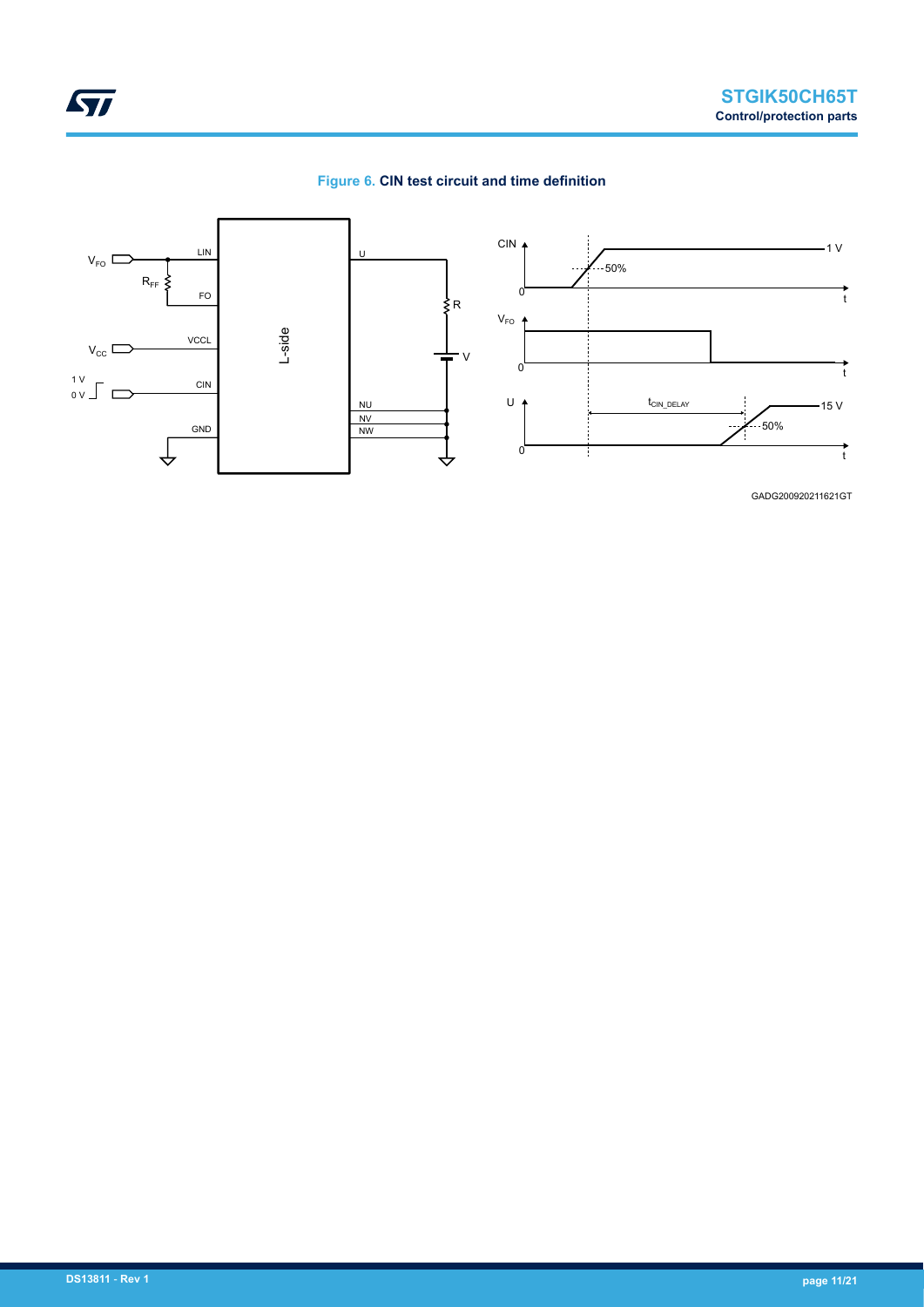



GADG200920211621GT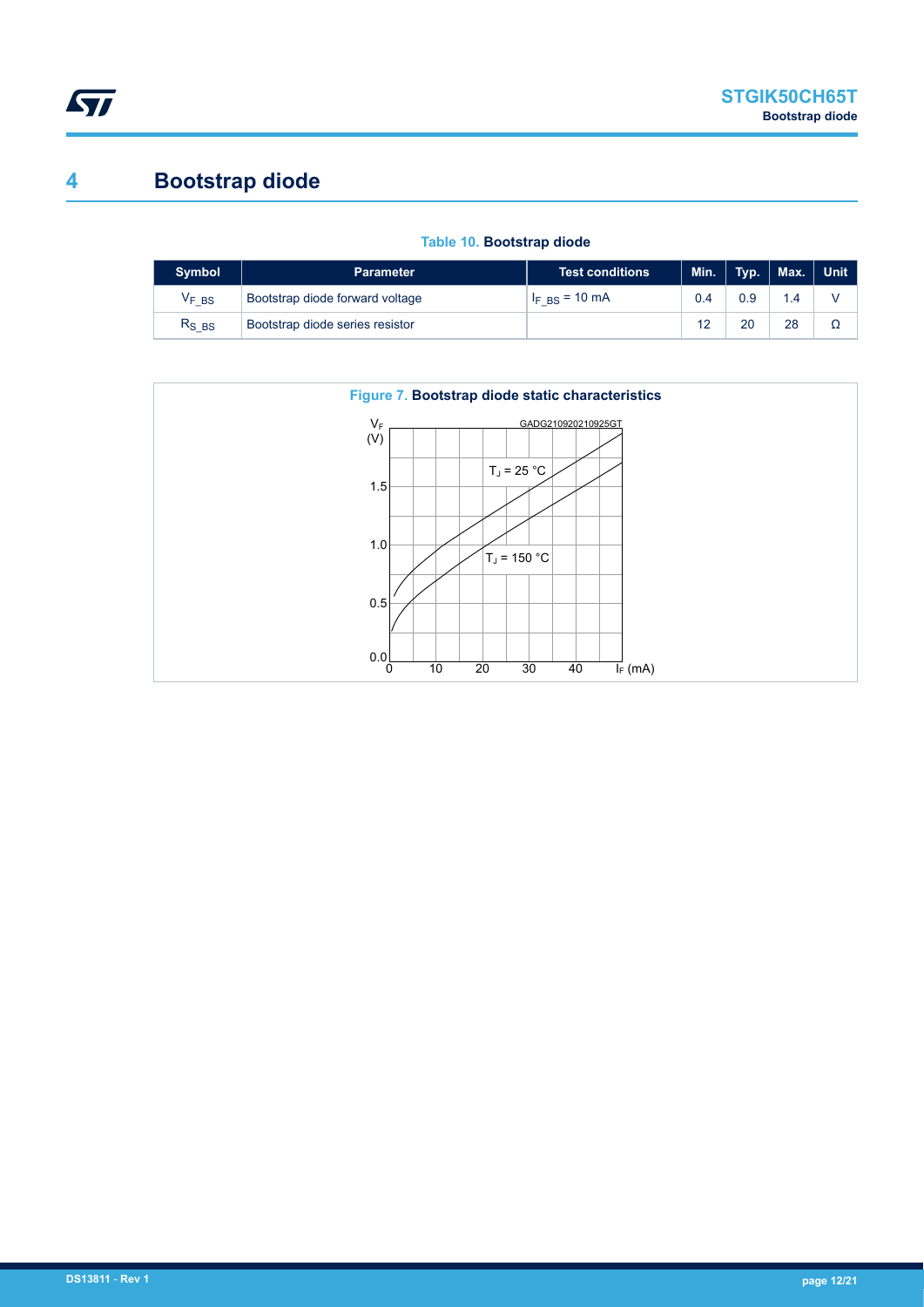<span id="page-11-0"></span>

# **4 Bootstrap diode**

| <b>Symbol</b>                | <b>Parameter</b>                | <b>Test conditions</b>      | Min. $\vert$ |     | Typ.   Max.   Unit |   |
|------------------------------|---------------------------------|-----------------------------|--------------|-----|--------------------|---|
| $\mathsf{V}_{\mathsf{F}}$ bs | Bootstrap diode forward voltage | $I_F$ <sub>BS</sub> = 10 mA | 0.4          | 0.9 | 1.4                |   |
| $R_{SBS}$                    | Bootstrap diode series resistor |                             | 12           | 20  | 28                 | Ω |



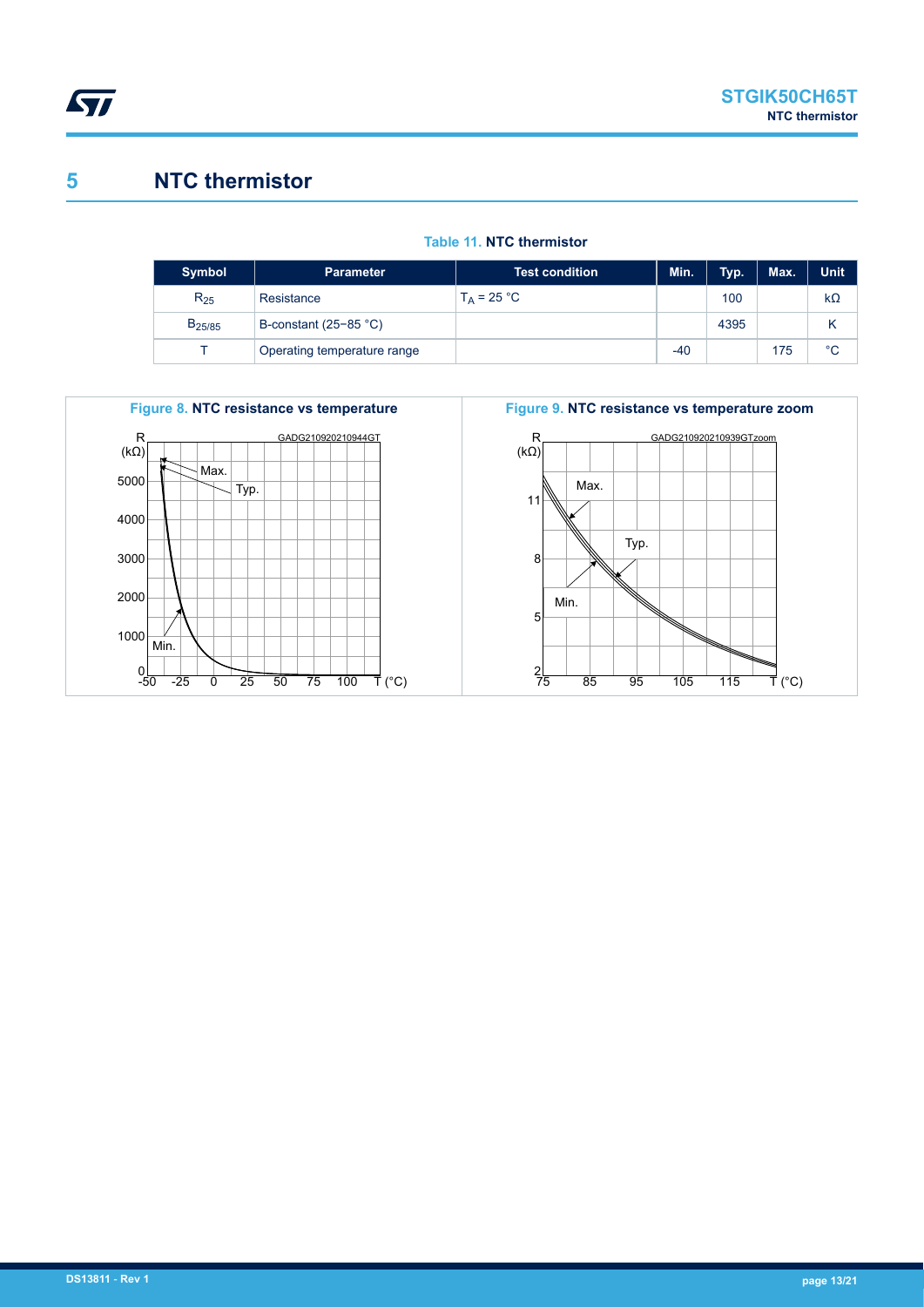<span id="page-12-0"></span>

# **5 NTC thermistor**

| <b>Symbol</b>      | <b>Parameter</b>               | Test condition <b>b</b> | Min. | Typ. | Max. | <b>Unit</b> |
|--------------------|--------------------------------|-------------------------|------|------|------|-------------|
| $R_{25}$           | Resistance                     | $T_A = 25 °C$           |      | 100  |      | $k\Omega$   |
| B <sub>25/85</sub> | B-constant $(25-85 \degree C)$ |                         |      | 4395 |      |             |
|                    | Operating temperature range    |                         | -40  |      | 175  | $^{\circ}C$ |





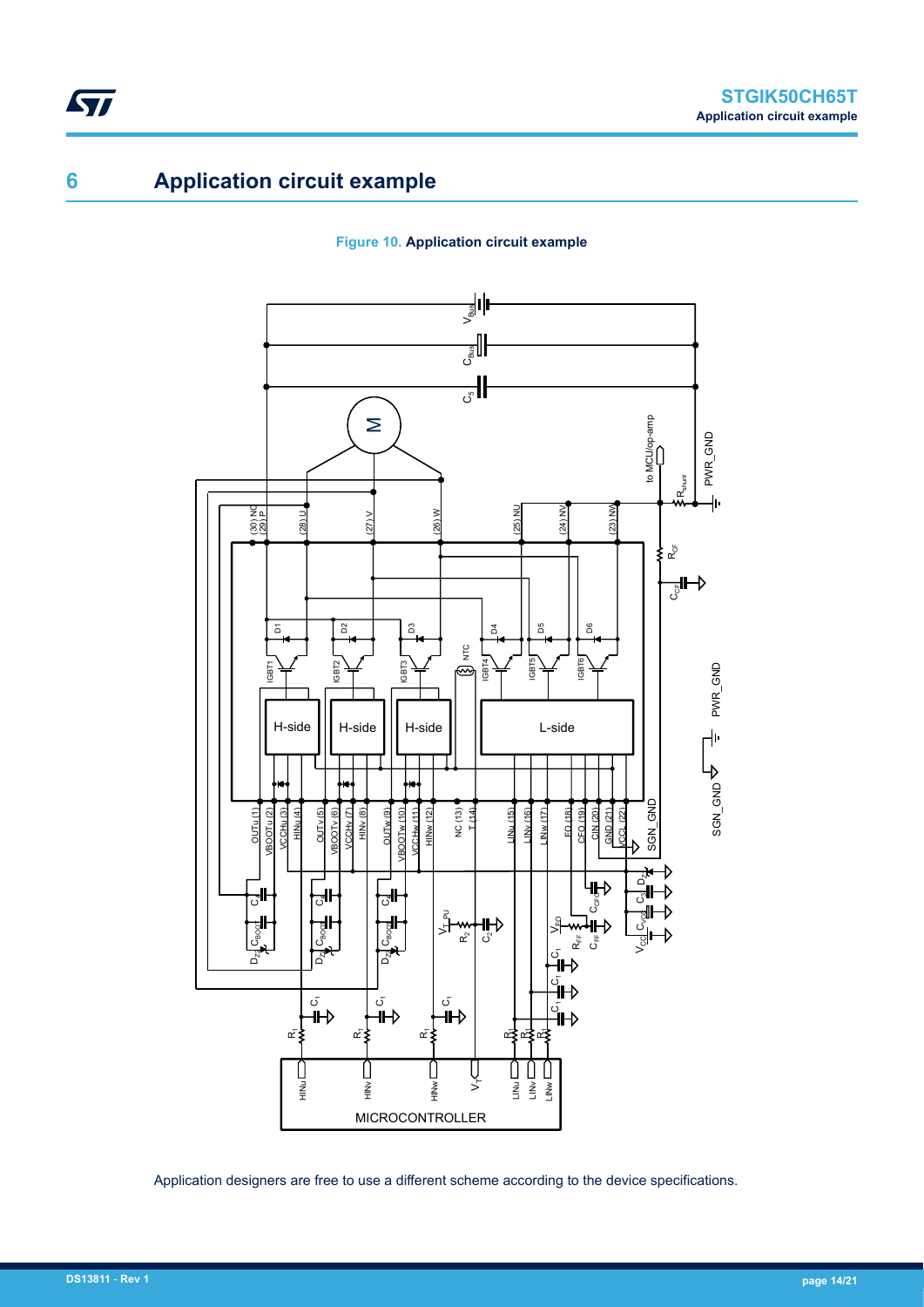# **6 Application circuit example**

<span id="page-13-0"></span>ST

#### **Figure 10. Application circuit example**



Application designers are free to use a different scheme according to the device specifications.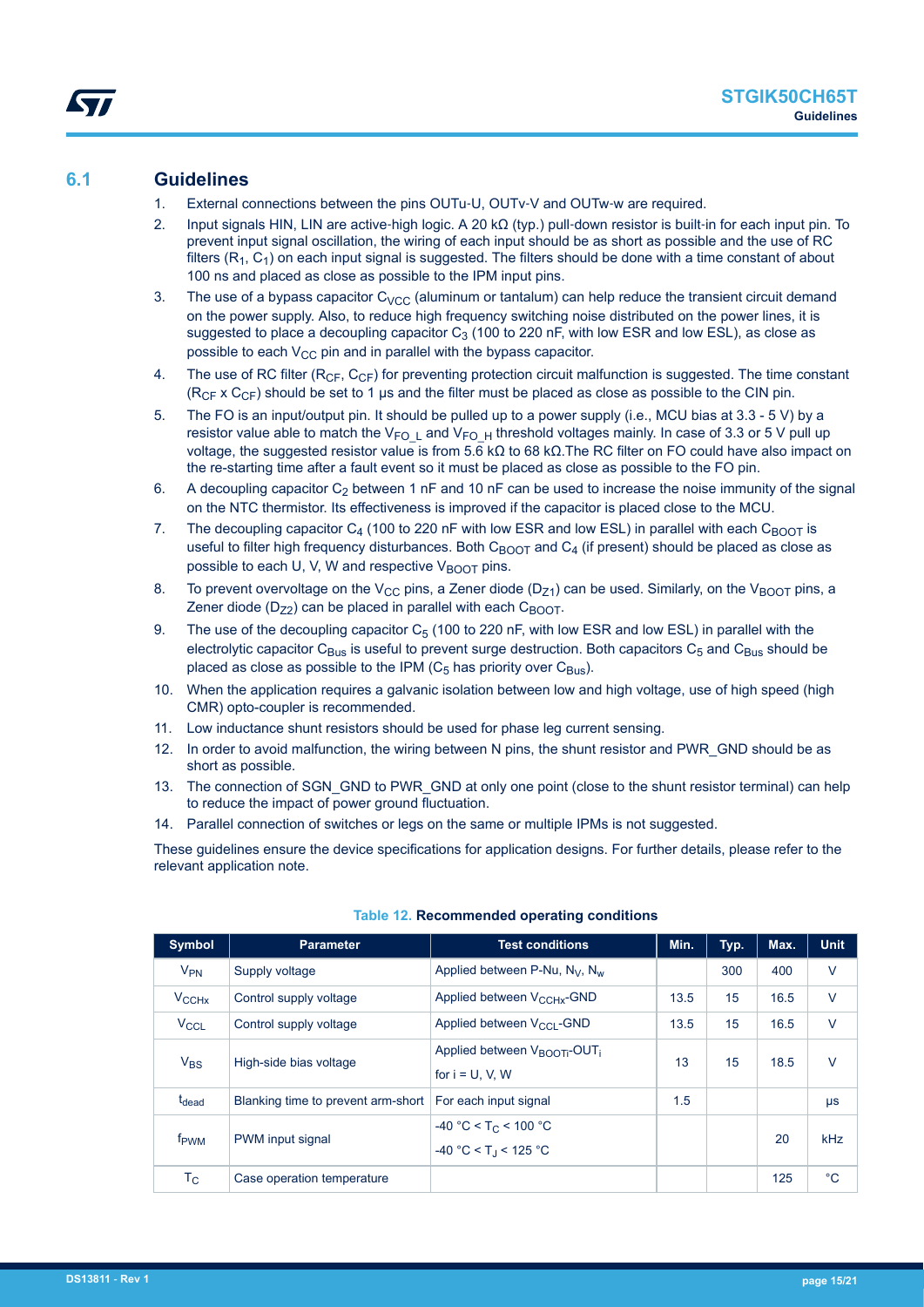### <span id="page-14-0"></span>**6.1 Guidelines**

- 1. External connections between the pins OUTu-U, OUTv-V and OUTw-w are required.
- 2. Input signals HIN, LIN are active‐high logic. A 20 kΩ (typ.) pull‐down resistor is built‐in for each input pin. To prevent input signal oscillation, the wiring of each input should be as short as possible and the use of RC filters  $(R_1, C_1)$  on each input signal is suggested. The filters should be done with a time constant of about 100 ns and placed as close as possible to the IPM input pins.
- 3. The use of a bypass capacitor  $C_{VCC}$  (aluminum or tantalum) can help reduce the transient circuit demand on the power supply. Also, to reduce high frequency switching noise distributed on the power lines, it is suggested to place a decoupling capacitor  $C_3$  (100 to 220 nF, with low ESR and low ESL), as close as possible to each  $V_{CC}$  pin and in parallel with the bypass capacitor.
- 4. The use of RC filter ( $R_{CF}$ ,  $C_{CF}$ ) for preventing protection circuit malfunction is suggested. The time constant  $(R<sub>CF</sub> \times C<sub>CF</sub>)$  should be set to 1 µs and the filter must be placed as close as possible to the CIN pin.
- 5. The FO is an input/output pin. It should be pulled up to a power supply (i.e., MCU bias at 3.3 5 V) by a resistor value able to match the V<sub>FOL</sub> and V<sub>FOH</sub> threshold voltages mainly. In case of 3.3 or 5 V pull up voltage, the suggested resistor value is from 5.6 kΩ to 68 kΩ.The RC filter on FO could have also impact on the re-starting time after a fault event so it must be placed as close as possible to the FO pin.
- 6. A decoupling capacitor  $C_2$  between 1 nF and 10 nF can be used to increase the noise immunity of the signal on the NTC thermistor. Its effectiveness is improved if the capacitor is placed close to the MCU.
- 7. The decoupling capacitor  $C_4$  (100 to 220 nF with low ESR and low ESL) in parallel with each  $C_{\text{BOOT}}$  is useful to filter high frequency disturbances. Both  $C_{\text{BOOT}}$  and  $C_4$  (if present) should be placed as close as possible to each U, V, W and respective  $V_{\text{ROT}}$  pins.
- 8. To prevent overvoltage on the V<sub>CC</sub> pins, a Zener diode (D<sub>71</sub>) can be used. Similarly, on the V<sub>BOOT</sub> pins, a Zener diode ( $D_{72}$ ) can be placed in parallel with each  $C_{BOOT}$ .
- 9. The use of the decoupling capacitor  $C_5$  (100 to 220 nF, with low ESR and low ESL) in parallel with the electrolytic capacitor  $C_{\text{Bus}}$  is useful to prevent surge destruction. Both capacitors  $C_5$  and  $C_{\text{Bus}}$  should be placed as close as possible to the IPM ( $C_5$  has priority over  $C_{\text{Bus}}$ ).
- 10. When the application requires a galvanic isolation between low and high voltage, use of high speed (high CMR) opto-coupler is recommended.
- 11. Low inductance shunt resistors should be used for phase leg current sensing.
- 12. In order to avoid malfunction, the wiring between N pins, the shunt resistor and PWR\_GND should be as short as possible.
- 13. The connection of SGN\_GND to PWR\_GND at only one point (close to the shunt resistor terminal) can help to reduce the impact of power ground fluctuation.
- 14. Parallel connection of switches or legs on the same or multiple IPMs is not suggested.

These guidelines ensure the device specifications for application designs. For further details, please refer to the relevant application note.

| Symbol                 | <b>Parameter</b>                   | <b>Test conditions</b>                                                    | Min. | Typ. | Max. | <b>Unit</b> |
|------------------------|------------------------------------|---------------------------------------------------------------------------|------|------|------|-------------|
| $V_{PN}$               | Supply voltage                     | Applied between P-Nu, $N_{V}$ , $N_{w}$                                   |      | 300  | 400  | $\vee$      |
| $V_{\text{CCHx}}$      | Control supply voltage             | Applied between V <sub>CCHx</sub> -GND                                    | 13.5 | 15   | 16.5 | $\vee$      |
| <b>V<sub>CCL</sub></b> | Control supply voltage             | Applied between V <sub>CCL</sub> -GND                                     | 13.5 | 15   | 16.5 | $\vee$      |
| $V_{BS}$               | High-side bias voltage             | Applied between V <sub>BOOTi</sub> -OUT <sub>i</sub><br>for $i = U, V, W$ | 13   | 15   | 18.5 | $\vee$      |
| t <sub>dead</sub>      | Blanking time to prevent arm-short | For each input signal                                                     | 1.5  |      |      | μs          |
| f <sub>PWM</sub>       | PWM input signal                   | $-40 °C < T_C < 100 °C$<br>$-40 °C < T_1 < 125 °C$                        |      |      | 20   | kHz         |
| Тc                     | Case operation temperature         |                                                                           |      |      | 125  | $^{\circ}C$ |

#### **Table 12. Recommended operating conditions**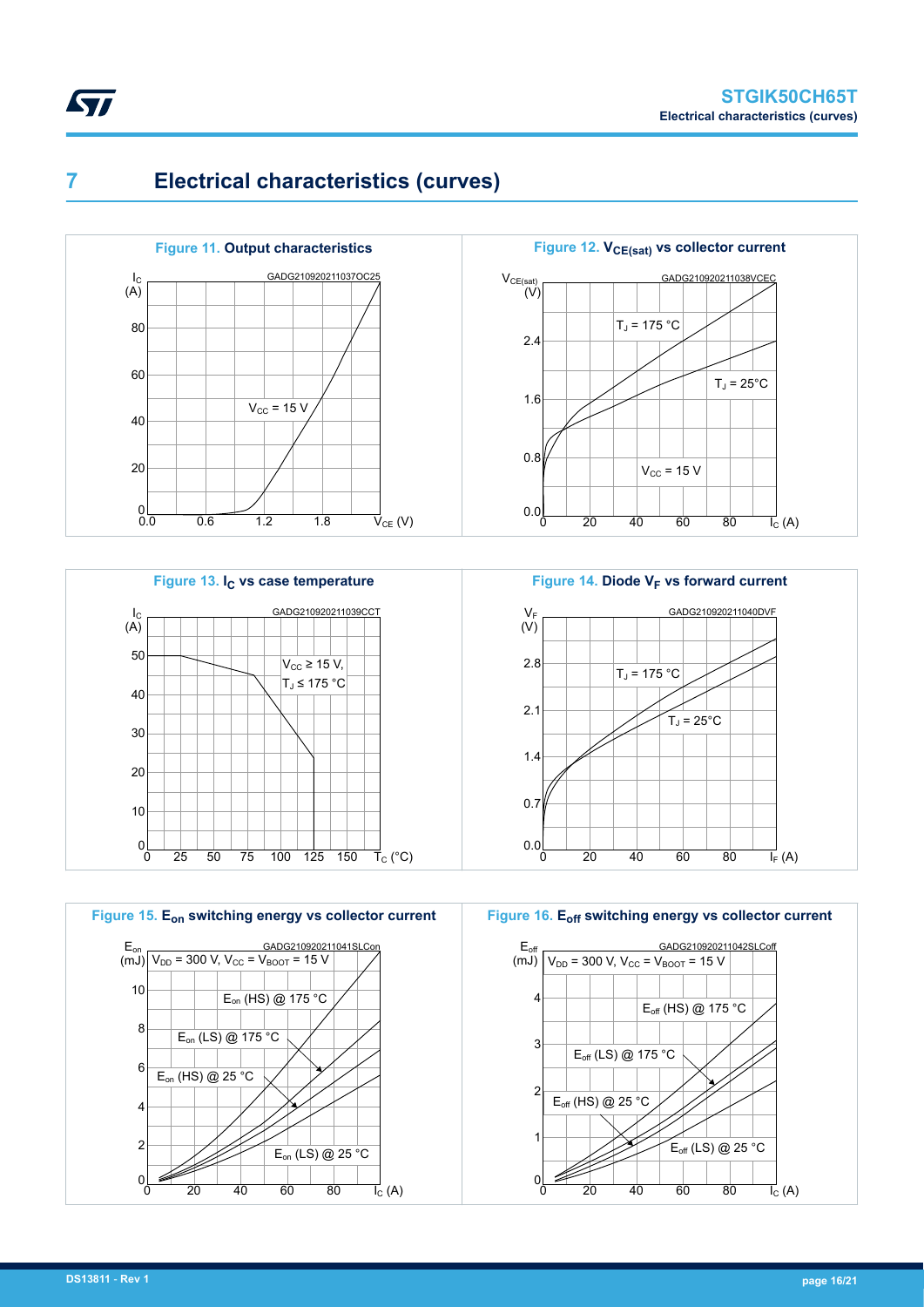

<span id="page-15-0"></span>**7 Electrical characteristics (curves)**











0 20 40 60 80

 $E_{\text{off}}$  (HS) @ 25 °C

1

 $\frac{1}{2}$ 

**Figure 16. Eoff switching energy vs collector current**

 $\overline{I_{C}}$  (A)

 $E_{\text{off}}$  (LS) @ 25 °C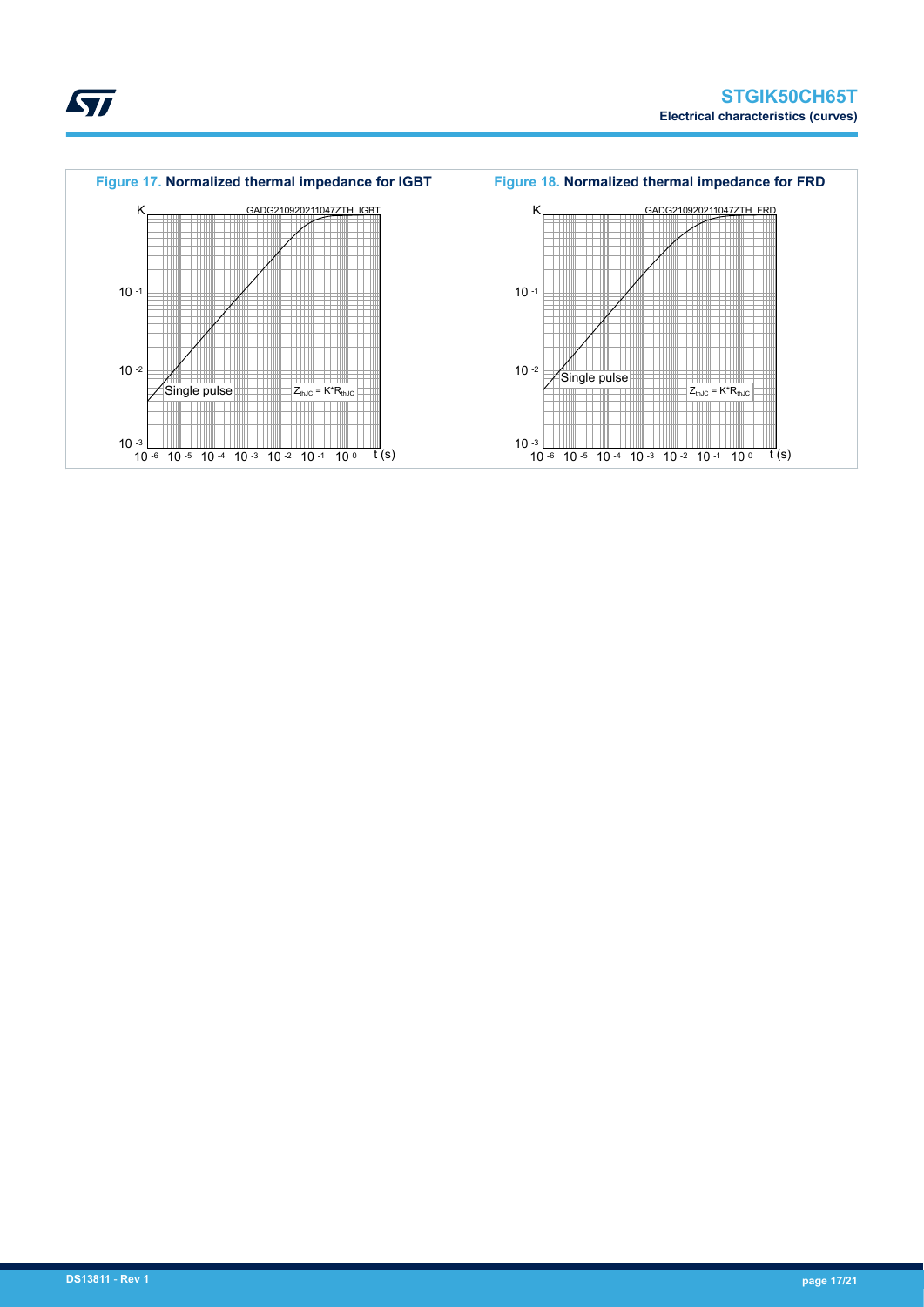



ST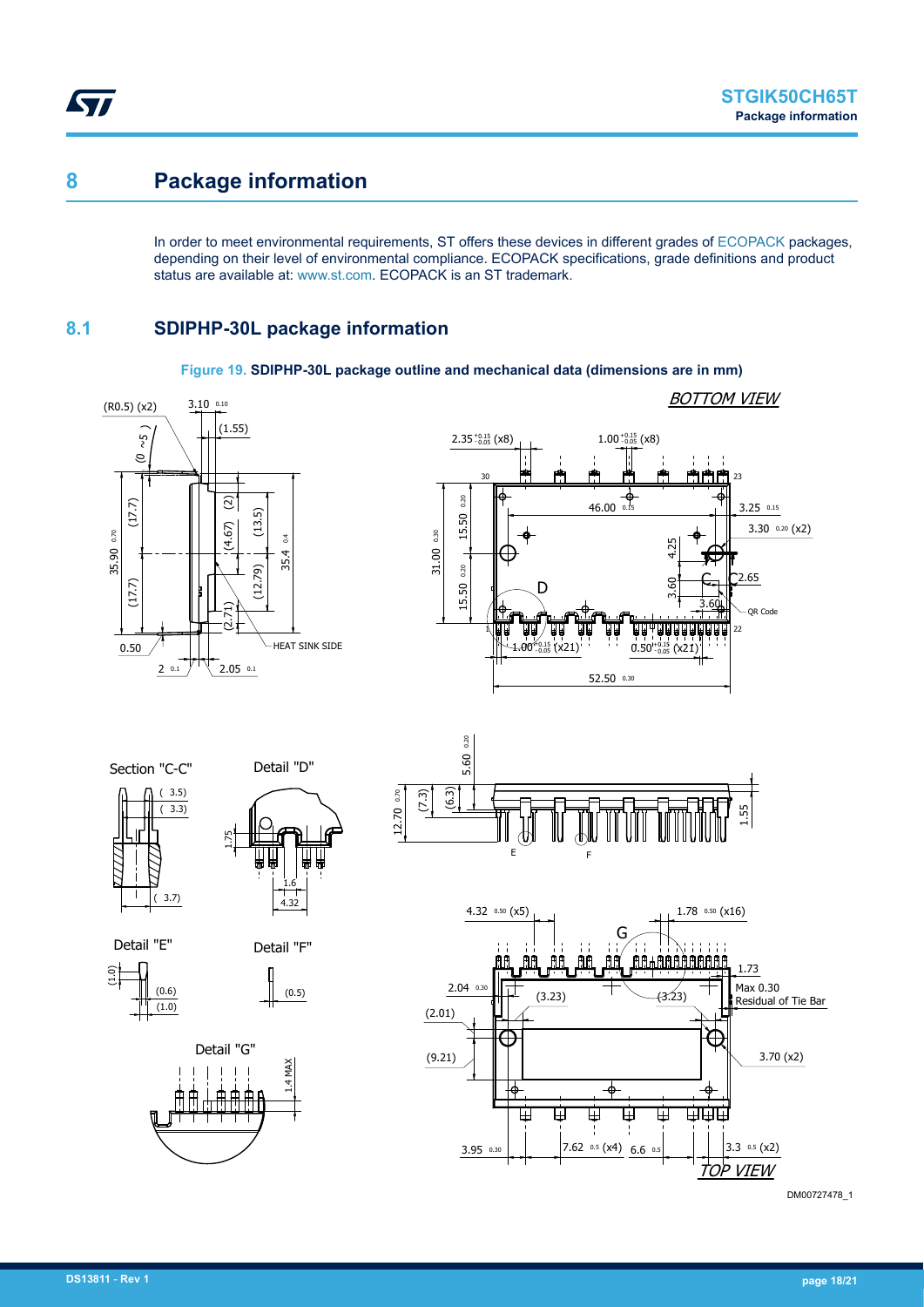## **8 Package information**

<span id="page-17-0"></span>ST

In order to meet environmental requirements, ST offers these devices in different grades of [ECOPACK](https://www.st.com/ecopack) packages, depending on their level of environmental compliance. ECOPACK specifications, grade definitions and product status are available at: [www.st.com.](http://www.st.com) ECOPACK is an ST trademark.

### **8.1 SDIPHP-30L package information**



#### **Figure 19. SDIPHP-30L package outline and mechanical data (dimensions are in mm)**

DM00727478\_1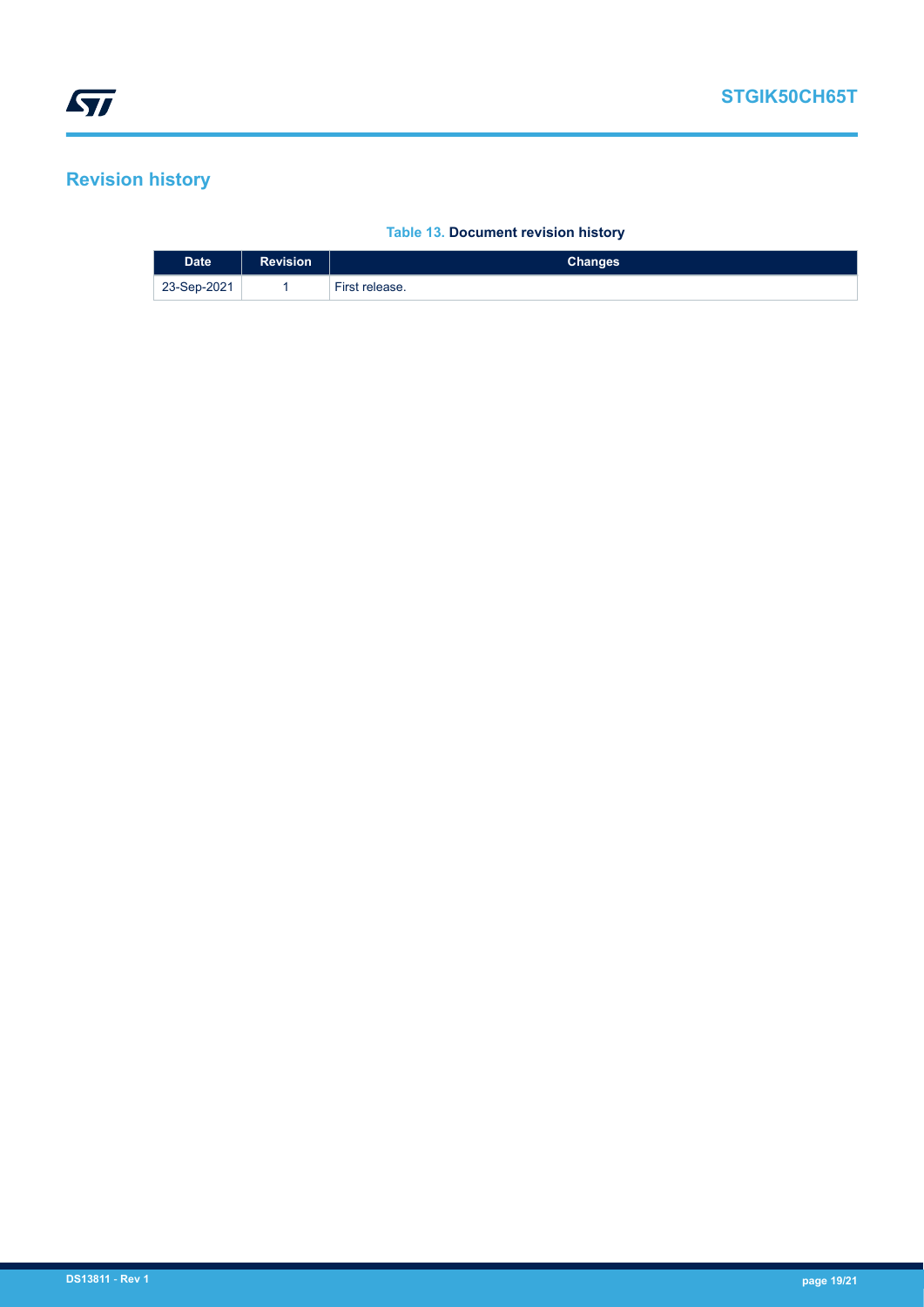# <span id="page-18-0"></span>**Revision history**

### **Table 13. Document revision history**

| <b>Date</b> | <b>Revision</b> | <b>Changes</b> |
|-------------|-----------------|----------------|
| 23-Sep-2021 |                 | First release. |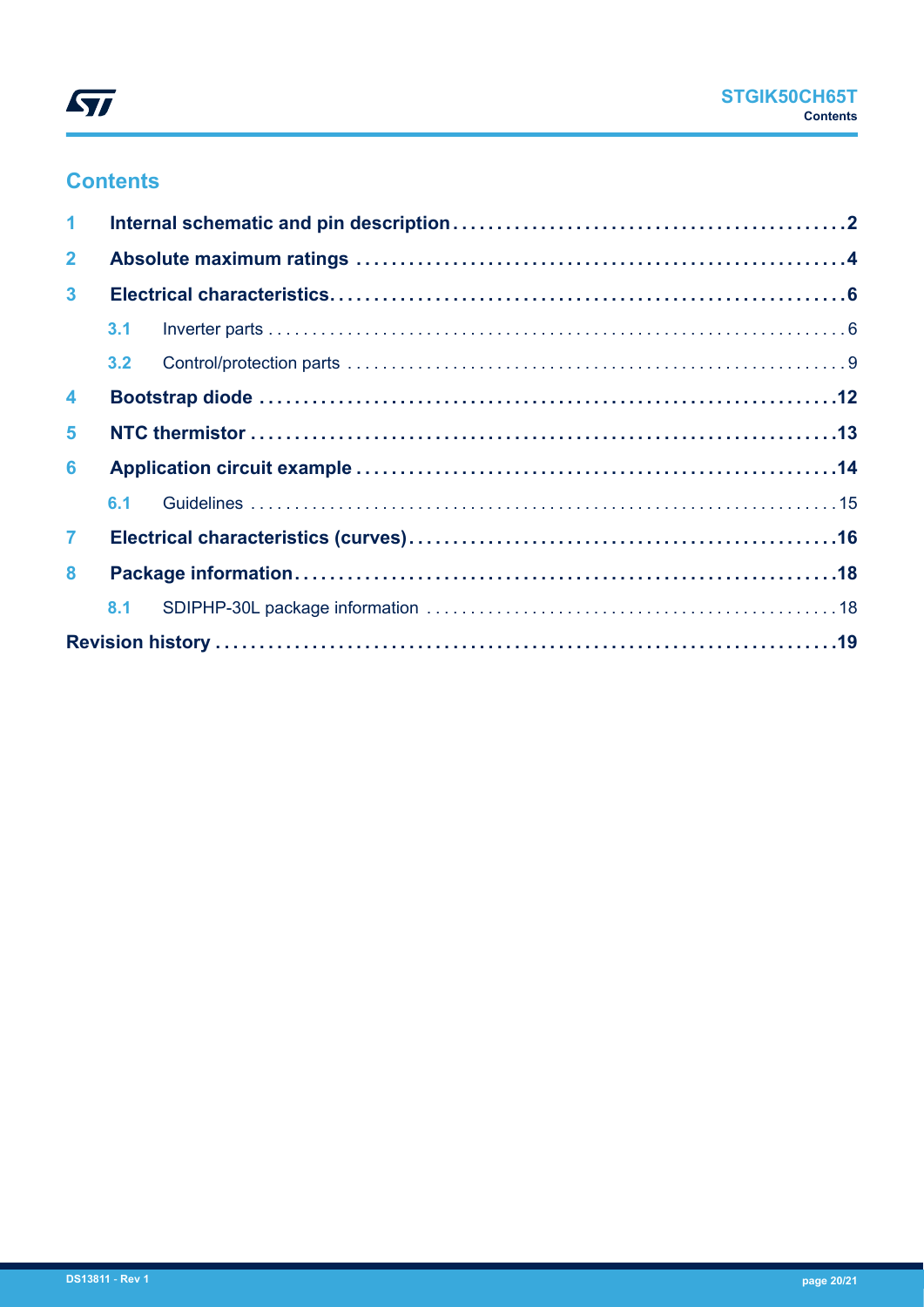

# **Contents**

| $\blacktriangleleft$    |     |  |  |
|-------------------------|-----|--|--|
| $\mathbf{2}$            |     |  |  |
| $\mathbf{3}$            |     |  |  |
|                         | 3.1 |  |  |
|                         |     |  |  |
| $\overline{\mathbf{4}}$ |     |  |  |
| 5                       |     |  |  |
| 6                       |     |  |  |
|                         | 6.1 |  |  |
| $\mathbf{7}$            |     |  |  |
| 8                       |     |  |  |
|                         |     |  |  |
|                         |     |  |  |